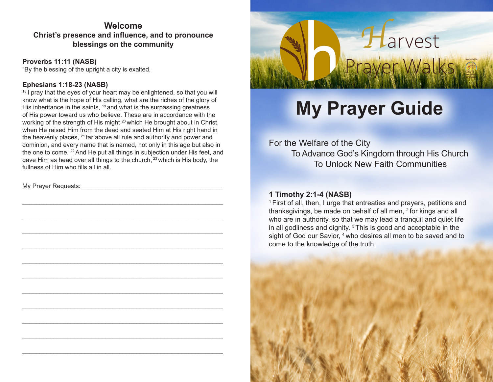## **Welcome Christ's presence and influence, and to pronounce blessings on the community**

**Proverbs 11:11 (NASB)**

"By the blessing of the upright a city is exalted,

## **Ephesians 1:18-23 (NASB)**

 $18$  I pray that the eyes of your heart may be enlightened, so that you will know what is the hope of His calling, what are the riches of the glory of His inheritance in the saints, <sup>19</sup> and what is the surpassing greatness of His power toward us who believe. These are in accordance with the working of the strength of His might <sup>20</sup> which He brought about in Christ, when He raised Him from the dead and seated Him at His right hand in the heavenly places,  $^{21}$  far above all rule and authority and power and dominion, and every name that is named, not only in this age but also in the one to come. 22 And He put all things in subjection under His feet, and gave Him as head over all things to the church, 23 which is His body, the fullness of Him who fills all in all.

\_\_\_\_\_\_\_\_\_\_\_\_\_\_\_\_\_\_\_\_\_\_\_\_\_\_\_\_\_\_\_\_\_\_\_\_\_\_\_\_\_\_\_\_\_\_\_\_\_\_\_\_\_\_\_\_\_\_

\_\_\_\_\_\_\_\_\_\_\_\_\_\_\_\_\_\_\_\_\_\_\_\_\_\_\_\_\_\_\_\_\_\_\_\_\_\_\_\_\_\_\_\_\_\_\_\_\_\_\_\_\_\_\_\_\_\_

\_\_\_\_\_\_\_\_\_\_\_\_\_\_\_\_\_\_\_\_\_\_\_\_\_\_\_\_\_\_\_\_\_\_\_\_\_\_\_\_\_\_\_\_\_\_\_\_\_\_\_\_\_\_\_\_\_\_

\_\_\_\_\_\_\_\_\_\_\_\_\_\_\_\_\_\_\_\_\_\_\_\_\_\_\_\_\_\_\_\_\_\_\_\_\_\_\_\_\_\_\_\_\_\_\_\_\_\_\_\_\_\_\_\_\_\_

\_\_\_\_\_\_\_\_\_\_\_\_\_\_\_\_\_\_\_\_\_\_\_\_\_\_\_\_\_\_\_\_\_\_\_\_\_\_\_\_\_\_\_\_\_\_\_\_\_\_\_\_\_\_\_\_\_\_

\_\_\_\_\_\_\_\_\_\_\_\_\_\_\_\_\_\_\_\_\_\_\_\_\_\_\_\_\_\_\_\_\_\_\_\_\_\_\_\_\_\_\_\_\_\_\_\_\_\_\_\_\_\_\_\_\_\_

\_\_\_\_\_\_\_\_\_\_\_\_\_\_\_\_\_\_\_\_\_\_\_\_\_\_\_\_\_\_\_\_\_\_\_\_\_\_\_\_\_\_\_\_\_\_\_\_\_\_\_\_\_\_\_\_\_\_

\_\_\_\_\_\_\_\_\_\_\_\_\_\_\_\_\_\_\_\_\_\_\_\_\_\_\_\_\_\_\_\_\_\_\_\_\_\_\_\_\_\_\_\_\_\_\_\_\_\_\_\_\_\_\_\_\_\_

\_\_\_\_\_\_\_\_\_\_\_\_\_\_\_\_\_\_\_\_\_\_\_\_\_\_\_\_\_\_\_\_\_\_\_\_\_\_\_\_\_\_\_\_\_\_\_\_\_\_\_\_\_\_\_\_\_\_

\_\_\_\_\_\_\_\_\_\_\_\_\_\_\_\_\_\_\_\_\_\_\_\_\_\_\_\_\_\_\_\_\_\_\_\_\_\_\_\_\_\_\_\_\_\_\_\_\_\_\_\_\_\_\_\_\_\_

\_\_\_\_\_\_\_\_\_\_\_\_\_\_\_\_\_\_\_\_\_\_\_\_\_\_\_\_\_\_\_\_\_\_\_\_\_\_\_\_\_\_\_\_\_\_\_\_\_\_\_\_\_\_\_\_\_\_

My Prayer Requests:



# **My Prayer Guide**

For the Welfare of the City To Advance God's Kingdom through His Church To Unlock New Faith Communities

### **1 Timothy 2:1-4 (NASB)**

1 First of all, then, I urge that entreaties and prayers, petitions and thanksgivings, be made on behalf of all men, 2 for kings and all who are in authority, so that we may lead a tranquil and quiet life in all godliness and dignity. 3 This is good and acceptable in the sight of God our Savior, <sup>4</sup> who desires all men to be saved and to come to the knowledge of the truth.